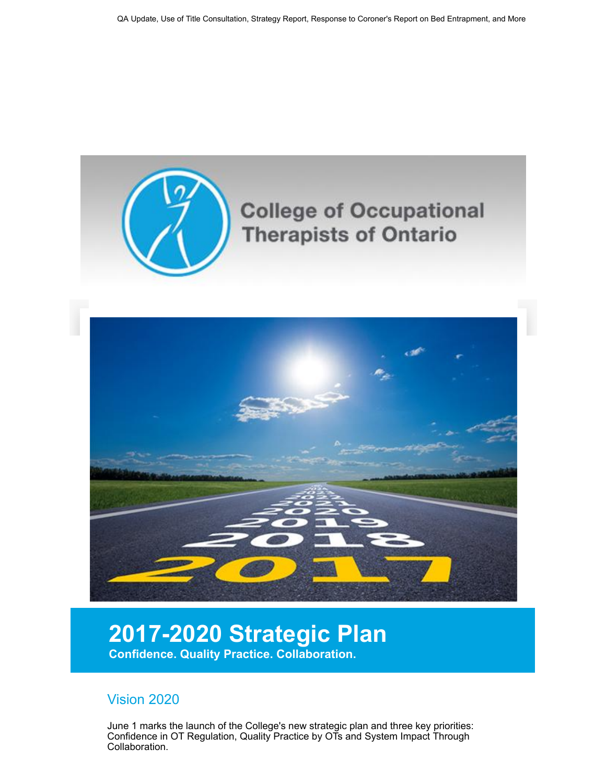

## 2017-2020 Strategic Plan

Confidence. Quality Practice. Collaboration.

## Vision 2020

June 1 marks the launch of the College's new strategic plan and three key priorities: Confidence in OT Regulation, Quality Practice by OTs and System Impact Through Collaboration.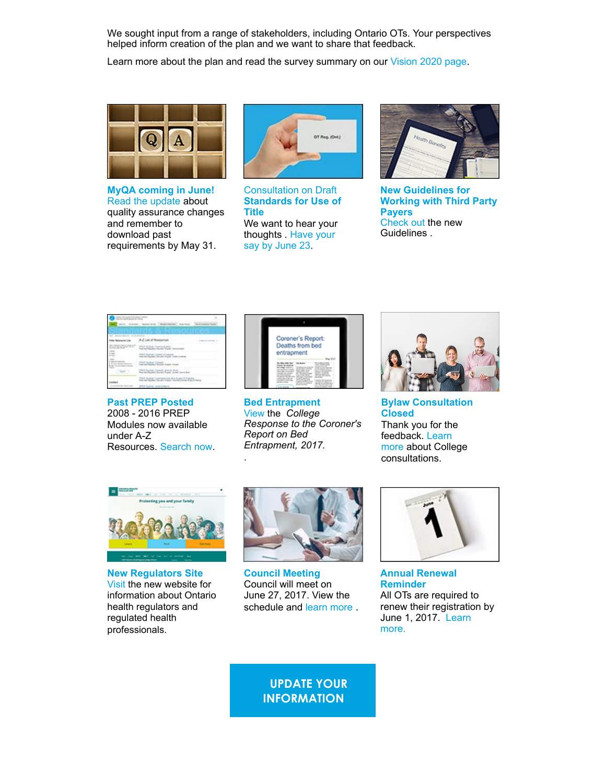We sought input from a range of stakeholders, including Ontario OTs. Your perspectives helped inform creation of the plan and we want to share that feedback.

Learn more about the plan and read the survey summary on our [Vision 2020 page.](https://www.coto.org/about/who-we-are/vision-2020?utm_source=May+Eblast&utm_campaign=May+2017+enews&utm_medium=email)



MyQA coming in June! [Read the update](https://www.coto.org/news/june-launch-of-qa-components?utm_source=May+Eblast&utm_campaign=May+2017+enews&utm_medium=email) about quality assurance changes and remember to download past requirements by May 31.



Consultation on Draft Standards for Use of Title We want to hear your [thoughts . Have your](https://www.coto.org/news/consultation-on-draft-standards-for-the-use-of-title?utm_source=May+Eblast&utm_campaign=May+2017+enews&utm_medium=email) say by June 23.



New Guidelines for Working with Third Party Payers [Check out](https://www.coto.org/news/new-guidelines-for-working-with-third-party-payers?utm_source=May+Eblast&utm_campaign=May+2017+enews&utm_medium=email) the new Guidelines .

|  | 化混合物 医下皮下的<br>$\overline{\phantom{a}}$                        |  |
|--|---------------------------------------------------------------|--|
|  |                                                               |  |
|  |                                                               |  |
|  | the control of all some<br><b>Inchester, Strate Ford, Low</b> |  |
|  | as Contaen                                                    |  |
|  | antige through department and service                         |  |
|  | THAT RUSSELL CONTROL A R. R. R. RUSSELL F. T. A. A.           |  |
|  |                                                               |  |

Past PREP Posted 2008 - 2016 PREP Modules now available under A-Z Resources. [Search now.](https://www.coto.org/standards-and-resources/a-z-list-of-resources?utm_source=May+Eblast&utm_campaign=May+2017+enews&utm_medium=email)



Bed Entrapment [View](https://www.coto.org/news/college-response-to-the-coroner) the College Response to the Coroner's Report on Bed Entrapment, 2017.

.



Bylaw Consultation Closed Thank you for the feedback. Learn [more about Colle](https://www.coto.org/about/consultations?utm_source=May+Eblast&utm_campaign=May+2017+enews&utm_medium=email)ge consultations.



New Regulators Site [Visit t](https://www.coto.org/news/announcing-the-new-ontario-health-regulators-website!?utm_source=May+Eblast&utm_campaign=May+2017+enews&utm_medium=email)he new website for information about Ontario health regulators and regulated health professionals.



Council Meeting Council will meet on June 27, 2017. View the schedule and [learn more](https://www.coto.org/about/who-we-are/council-meetings-and-materials?utm_source=May+Eblast&utm_campaign=May+2017+enews&utm_medium=email) .



Annual Renewal Reminder All OTs are required to renew their registration by [June 1, 2017. Learn](https://www.coto.org/news/annual-renewal-reminder!?utm_source=May+Eblast&utm_campaign=May+2017+enews&utm_medium=email) more.

UPDATE YOUR **INFORMATION**